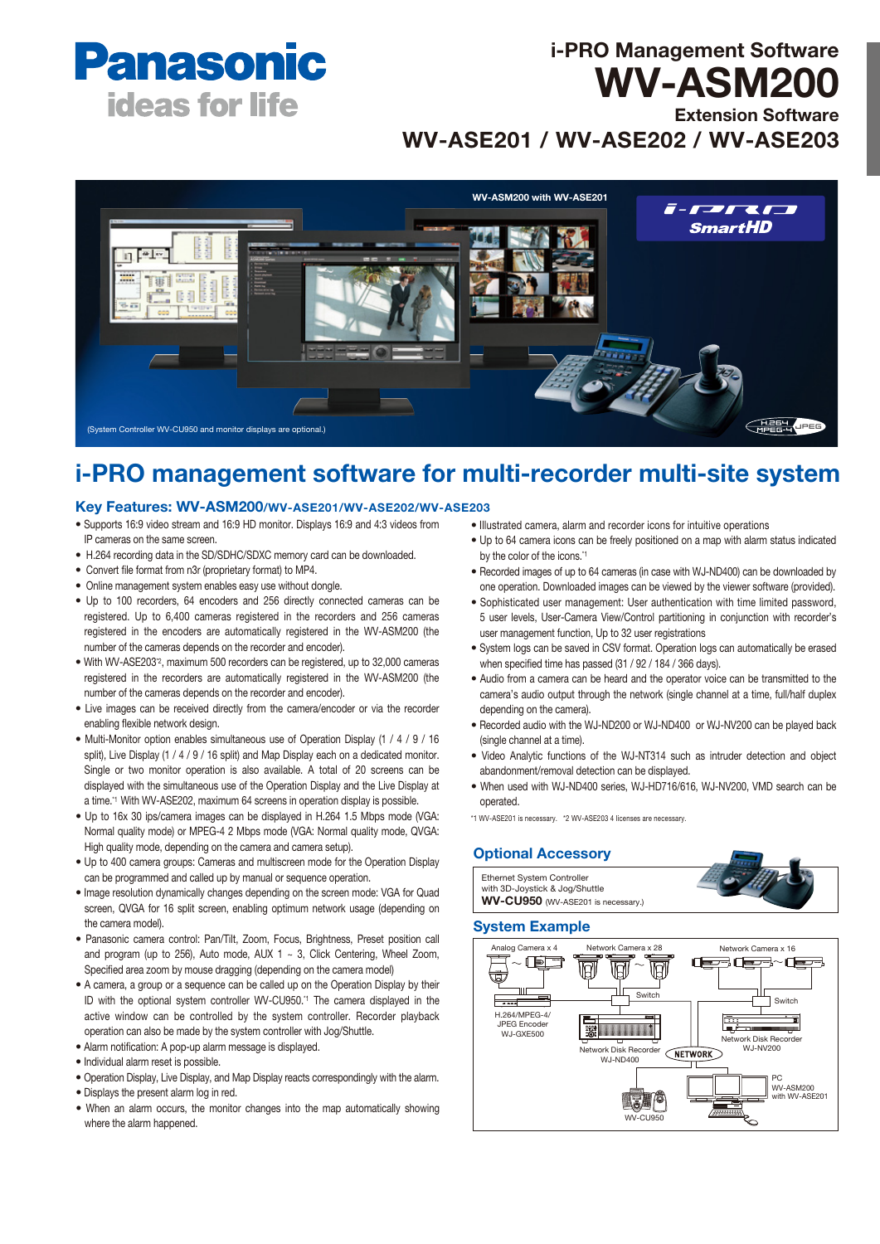

# i-PRO Management Software WV-ASM200

Extension Software WV-ASE201 / WV-ASE202 / WV-ASE203

WV-ASM200 with WV-ASE2017-7-27 & F.R **SmartHD** In THE<sup>7</sup> **CHEEL ORD** (System Controller WV-CU950 and monitor displays are optional.)

# i-PRO management software for multi-recorder multi-site system

# Key Features: WV-ASM200/WV-ASE201/WV-ASE202/WV-ASE203

- Supports 16:9 video stream and 16:9 HD monitor. Displays 16:9 and 4:3 videos from IP cameras on the same screen.
- H.264 recording data in the SD/SDHC/SDXC memory card can be downloaded.
- Convert file format from n3r (proprietary format) to MP4.
- Online management system enables easy use without dongle.
- Up to 100 recorders, 64 encoders and 256 directly connected cameras can be registered. Up to 6,400 cameras registered in the recorders and 256 cameras registered in the encoders are automatically registered in the WV-ASM200 (the number of the cameras depends on the recorder and encoder).
- With WV-ASE203\*2, maximum 500 recorders can be registered, up to 32,000 cameras registered in the recorders are automatically registered in the WV-ASM200 (the number of the cameras depends on the recorder and encoder).
- Live images can be received directly from the camera/encoder or via the recorder enabling flexible network design.
- Multi-Monitor option enables simultaneous use of Operation Display (1 / 4 / 9 / 16 split), Live Display (1 / 4 / 9 / 16 split) and Map Display each on a dedicated monitor. Single or two monitor operation is also available. A total of 20 screens can be displayed with the simultaneous use of the Operation Display and the Live Display at a time.<sup>\*1</sup> With WV-ASE202, maximum 64 screens in operation display is possible.
- Up to 16x 30 ips/camera images can be displayed in H.264 1.5 Mbps mode (VGA: Normal quality mode) or MPEG-4 2 Mbps mode (VGA: Normal quality mode, QVGA: High quality mode, depending on the camera and camera setup).
- Up to 400 camera groups: Cameras and multiscreen mode for the Operation Display can be programmed and called up by manual or sequence operation.
- Image resolution dynamically changes depending on the screen mode: VGA for Quad screen, QVGA for 16 split screen, enabling optimum network usage (depending on the camera model).
- Panasonic camera control: Pan/Tilt, Zoom, Focus, Brightness, Preset position call and program (up to 256), Auto mode, AUX 1  $\sim$  3, Click Centering, Wheel Zoom, Specified area zoom by mouse dragging (depending on the camera model)
- A camera, a group or a sequence can be called up on the Operation Display by their ID with the optional system controller WV-CU950.\*1 The camera displayed in the active window can be controlled by the system controller. Recorder playback operation can also be made by the system controller with Jog/Shuttle.
- Alarm notification: A pop-up alarm message is displayed.
- Individual alarm reset is possible.
- Operation Display, Live Display, and Map Display reacts correspondingly with the alarm.
- Displays the present alarm log in red.
- When an alarm occurs, the monitor changes into the map automatically showing where the alarm happened.
- Illustrated camera, alarm and recorder icons for intuitive operations
- Up to 64 camera icons can be freely positioned on a map with alarm status indicated by the color of the icons.<sup>\*1</sup>
- Recorded images of up to 64 cameras (in case with WJ-ND400) can be downloaded by one operation. Downloaded images can be viewed by the viewer software (provided).
- Sophisticated user management: User authentication with time limited password, 5 user levels, User-Camera View/Control partitioning in conjunction with recorder's user management function, Up to 32 user registrations
- System logs can be saved in CSV format. Operation logs can automatically be erased when specified time has passed (31 / 92 / 184 / 366 days).
- Audio from a camera can be heard and the operator voice can be transmitted to the camera's audio output through the network (single channel at a time, full/half duplex depending on the camera).
- Recorded audio with the WJ-ND200 or WJ-ND400 or WJ-NV200 can be played back (single channel at a time).
- Video Analytic functions of the WJ-NT314 such as intruder detection and object abandonment/removal detection can be displayed.
- When used with WJ-ND400 series, WJ-HD716/616, WJ-NV200, VMD search can be operated.

\*1 WV-ASE201 is necessary. \*2 WV-ASE203 4 licenses are necessary.

# Optional Accessory



## System Example

Ethernet System Controller